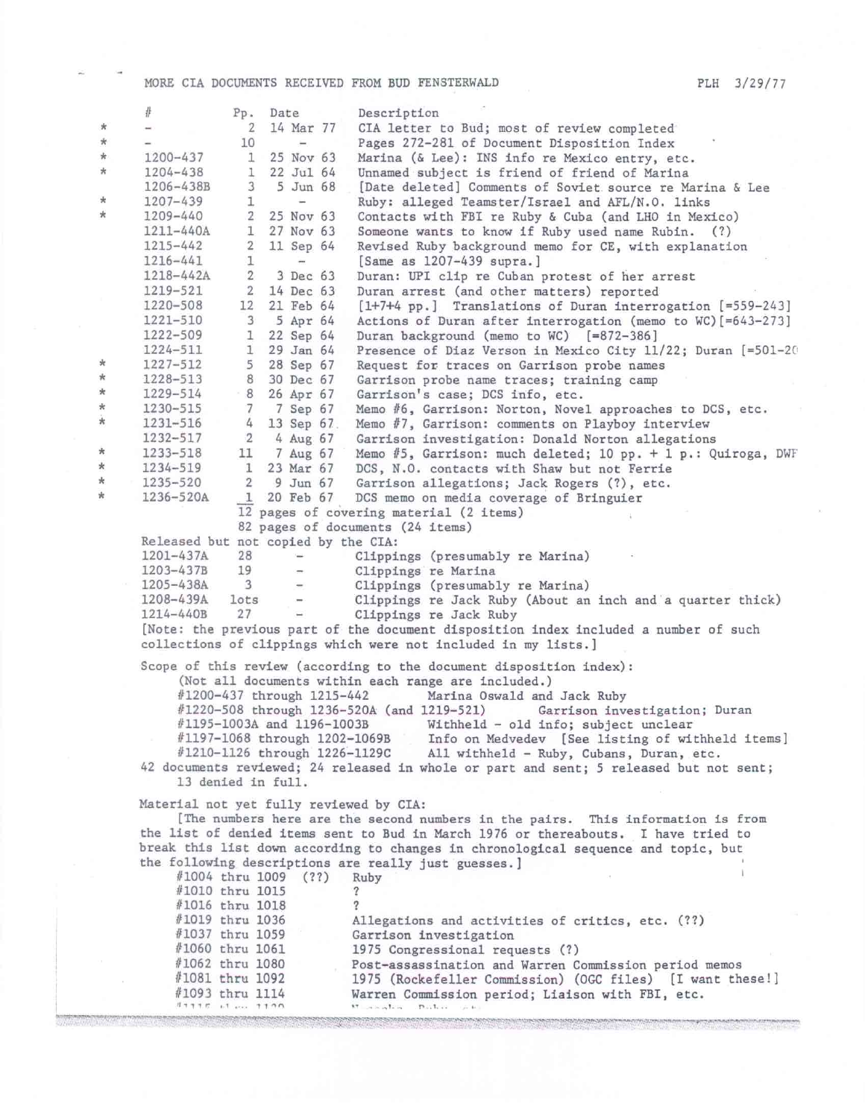MORE CIA DOCUMENTS RECEIVED FROM BUD FENSTERWALD PLH 3/29/77

|            | #                                                                                                       |                | Pp. Date                 |              | Description                                                                                  |
|------------|---------------------------------------------------------------------------------------------------------|----------------|--------------------------|--------------|----------------------------------------------------------------------------------------------|
| $\star$    | $\overline{\phantom{a}}$                                                                                | 2              | 14 Mar 77                |              | CIA letter to Bud; most of review completed                                                  |
| $\star$    |                                                                                                         | 10             | $\equiv$                 |              | Pages 272-281 of Document Disposition Index                                                  |
| $*$        | 1200-437                                                                                                | 1              | 25 Nov 63                |              | Marina (& Lee): INS info re Mexico entry, etc.                                               |
| $\star$    | 1204-438                                                                                                | 1              | $22$ Jul $64$            |              | Unnamed subject is friend of friend of Marina                                                |
|            | 1206-438B                                                                                               | 3              | 5 Jun 68                 |              | [Date deleted] Comments of Soviet source re Marina & Lee                                     |
| $^{\star}$ | 1207-439                                                                                                | 1              | ÷                        |              | Ruby: alleged Teamster/Israel and AFL/N.O. links                                             |
| ∗          | 1209-440                                                                                                | $\overline{2}$ | 25 Nov 63                |              | Contacts with FBI re Ruby & Cuba (and LHO in Mexico)                                         |
|            | 1211-440A                                                                                               | 1              | 27 Nov 63                |              | Someone wants to know if Ruby used name Rubin. (?)                                           |
|            | 1215-442                                                                                                | 2              | 11 Sep 64                |              | Revised Ruby background memo for CE, with explanation                                        |
|            | $1216 - 441$                                                                                            | ı              | $\overline{\phantom{a}}$ |              | [Same as 1207-439 supra.]                                                                    |
|            | 1218-442A                                                                                               | $\mathbf{2}$   |                          | 3 Dec 63     | Duran: UPI clip re Cuban protest of her arrest                                               |
|            | 1219-521                                                                                                | $\overline{2}$ | 14 Dec 63                |              | Duran arrest (and other matters) reported                                                    |
|            | 1220-508                                                                                                | 12             | 21 Feb 64                |              | [1+7+4 pp.] Translations of Duran interrogation [=559-243]                                   |
|            | 1221-510                                                                                                | 3              | 5 Apr 64                 |              | Actions of Duran after interrogation (memo to WC) [=643-273]                                 |
|            | 1222-509                                                                                                | 1              | 22 Sep 64                |              | Duran background (memo to WC) [=872-386]                                                     |
|            | 1224-511                                                                                                | $\mathbf{1}$   | 29 Jan 64                |              | Presence of Diaz Verson in Mexico City 11/22; Duran [=501-20                                 |
| ×          | 1227-512                                                                                                | 5              | 28 Sep 67                |              | Request for traces on Garrison probe names                                                   |
| $\star$    | 1228-513                                                                                                | 8              | 30 Dec 67                |              | Garrison probe name traces; training camp                                                    |
| $\star$    | 1229-514                                                                                                | 8              | 26 Apr 67                |              | Garrison's case; DCS info, etc.                                                              |
| $^{\star}$ | 1230-515                                                                                                | 7              | 7 Sep 67                 |              | Memo #6, Garrison: Norton, Novel approaches to DCS, etc.                                     |
| $\star$    | 1231-516                                                                                                | 4              | 13 Sep 67.               |              | Memo #7, Garrison: comments on Playboy interview                                             |
|            | 1232-517                                                                                                | $\overline{2}$ | 4 Aug 67                 |              | Garrison investigation: Donald Norton allegations                                            |
| *          | 1233-518                                                                                                | 11             | 7 Aug 67                 |              | Memo $#5$ , Garrison: much deleted; 10 pp. + 1 p.: Quiroga, DWF                              |
| $\ast$     | 1234-519                                                                                                | 1              | 23 Mar 67                |              | DCS, N.O. contacts with Shaw but not Ferrie                                                  |
| *          | 1235-520                                                                                                | $\overline{2}$ |                          | $9$ Jun $67$ | Garrison allegations; Jack Rogers (?), etc.                                                  |
| *          | 1236-520A                                                                                               | -1             | 20 Feb 67                |              | DCS memo on media coverage of Bringuier                                                      |
|            | 12 pages of covering material (2 items)                                                                 |                |                          |              |                                                                                              |
|            |                                                                                                         |                |                          |              | 82 pages of documents (24 items)                                                             |
|            | Released but not copied by the CIA:                                                                     |                |                          |              |                                                                                              |
|            | 1201-437A<br>1203-437B                                                                                  | 28<br>19       |                          |              | Clippings (presumably re Marina)                                                             |
|            | $1205 - 438A$                                                                                           | $\overline{3}$ | $\qquad \qquad =$        |              | Clippings re Marina                                                                          |
|            | 1208-439A                                                                                               | lots           | $\rightarrow$            |              | Clippings (presumably re Marina)                                                             |
|            | 1214-440B                                                                                               | 27             |                          |              | Clippings re Jack Ruby (About an inch and a quarter thick)<br>Clippings re Jack Ruby         |
|            |                                                                                                         |                |                          |              | [Note: the previous part of the document disposition index included a number of such         |
|            |                                                                                                         |                |                          |              | collections of clippings which were not included in my lists.]                               |
|            |                                                                                                         |                |                          |              |                                                                                              |
|            |                                                                                                         |                |                          |              | Scope of this review (according to the document disposition index):                          |
|            |                                                                                                         |                |                          |              | (Not all documents within each range are included.)                                          |
|            | #1200-437 through 1215-442<br>Marina Oswald and Jack Ruby<br>#1220-508 through 1236-520A (and 1219-521) |                |                          |              |                                                                                              |
|            |                                                                                                         |                |                          |              | Garrison investigation; Duran                                                                |
|            | #1195-1003A and 1196-1003B<br>#1197-1068 through 1202-1069B                                             |                |                          |              | Withheld - old info; subject unclear                                                         |
|            | #1210-1126 through 1226-1129C                                                                           |                |                          |              | Info on Medvedev [See listing of withheld items]<br>All withheld - Ruby, Cubans, Duran, etc. |
|            |                                                                                                         |                |                          |              | 42 documents reviewed; 24 released in whole or part and sent; 5 released but not sent;       |
|            | 13 denied in full.                                                                                      |                |                          |              |                                                                                              |
|            |                                                                                                         |                |                          |              |                                                                                              |
|            | Material not yet fully reviewed by CIA:                                                                 |                |                          |              |                                                                                              |
|            | [The numbers here are the second numbers in the pairs. This information is from                         |                |                          |              |                                                                                              |
|            |                                                                                                         |                |                          |              | the list of denied items sent to Bud in March 1976 or thereabouts. I have tried to           |
|            |                                                                                                         |                |                          |              | break this list down according to changes in chronological sequence and topic, but           |
|            | #1004 thru 1009 (??)                                                                                    |                |                          |              | the following descriptions are really just guesses. ]                                        |
|            | #1010 thru 1015                                                                                         |                |                          |              | Ruby                                                                                         |
|            | #1016 thru 1018                                                                                         |                |                          |              |                                                                                              |
|            | #1019 thru 1036                                                                                         |                |                          |              | Allegations and activities of critics, etc. (??)                                             |
|            | #1037 thru 1059                                                                                         |                |                          |              | Garrison investigation                                                                       |
|            | #1060 thru 1061                                                                                         |                |                          |              | 1975 Congressional requests (?)                                                              |
|            | #1062 thru 1080                                                                                         |                |                          |              | Post-assassination and Warren Commission period memos                                        |
|            | #1081 thru 1092                                                                                         |                |                          |              | 1975 (Rockefeller Commission) (OGC files) [I want these!]                                    |
|            | #1093 thru 1114                                                                                         |                |                          |              | Warren Commission period; Liaison with FBI, etc.                                             |
|            |                                                                                                         |                |                          |              | $RT = 100$ m $R = 100$                                                                       |
|            |                                                                                                         |                |                          |              |                                                                                              |